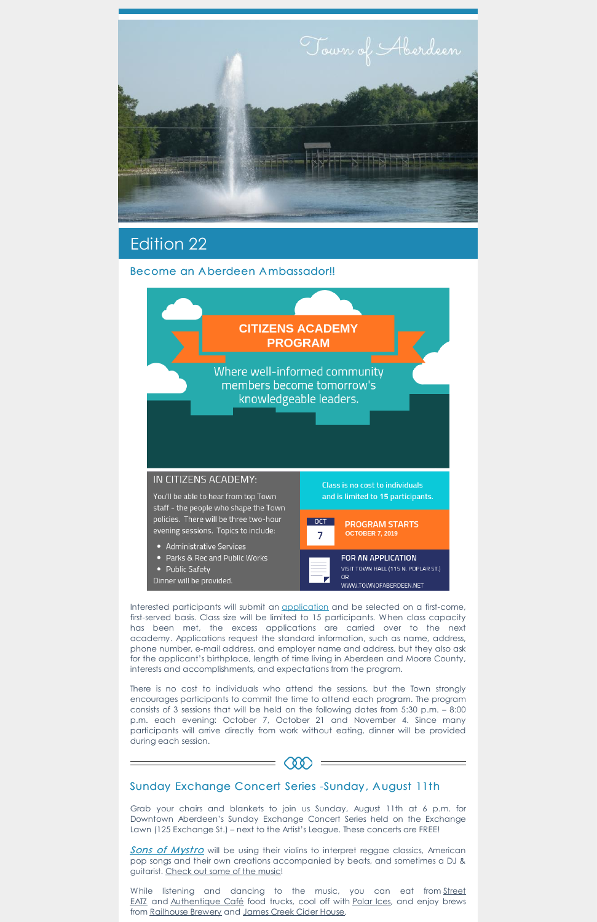

# Edition 22

## Become an A berdeen Ambassador!!



Interested participants will submit an [application](https://www.townofaberdeen.net/docview.aspx?docid=28471) and be selected on a first-come, first-served basis. Class size will be limited to 15 participants. When class capacity has been met, the excess applications are carried over to the next academy. Applications request the standard information, such as name, address, phone number, e-mail address, and employer name and address, but they also ask for the applicant's birthplace, length of time living in Aberdeen and Moore County, interests and accomplishments, and expectations from the program.

Sons of [Mystro](https://www.facebook.com/SonsofMystro/) will be using their violins to interpret reggae classics, American pop songs and their own creations accompanied by beats, and sometimes a DJ & guitarist. [Check](https://www.youtube.com/user/sonsofmystro/videos) out some of the music!

There is no cost to individuals who attend the sessions, but the Town strongly encourages participants to commit the time to attend each program. The program consists of 3 sessions that will be held on the following dates from 5:30 p.m. – 8:00 p.m. each evening: October 7, October 21 and November 4. Since many participants will arrive directly from work without eating, dinner will be provided during each session.

While listening and dancing to the music, you can eat from Street EATZ and [Authentique](https://www.facebook.com/streeteatznc/) Café food trucks, cool off with [Polar](https://www.facebook.com/BubblzBoba/) Ices, and enjoy brews from [Railhouse](https://www.facebook.com/railhouse.brewery.7/) Brewery and [James](https://www.facebook.com/jamescreekciderhouse/) Creek Cider House.

#### Sunday Exchange Concert Series -Sunday , A ugust 11th

**CQQ** 

Grab your chairs and blankets to join us Sunday, August 11th at 6 p.m. for Downtown Aberdeen's Sunday Exchange Concert Series held on the Exchange Lawn (125 Exchange St.) – next to the Artist's League. These concerts are FREE!